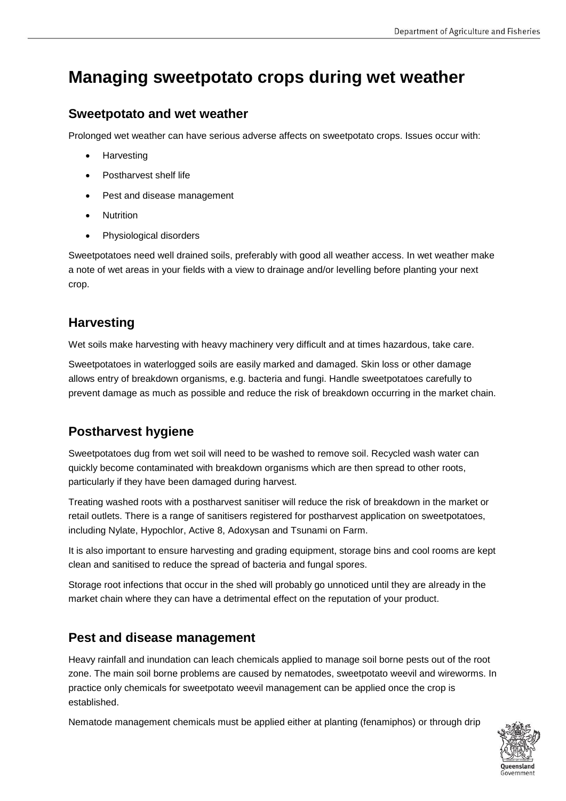# **Managing sweetpotato crops during wet weather**

### **Sweetpotato and wet weather**

Prolonged wet weather can have serious adverse affects on sweetpotato crops. Issues occur with:

- Harvesting
- Postharvest shelf life
- Pest and disease management
- Nutrition
- Physiological disorders

Sweetpotatoes need well drained soils, preferably with good all weather access. In wet weather make a note of wet areas in your fields with a view to drainage and/or levelling before planting your next crop.

# **Harvesting**

Wet soils make harvesting with heavy machinery very difficult and at times hazardous, take care.

Sweetpotatoes in waterlogged soils are easily marked and damaged. Skin loss or other damage allows entry of breakdown organisms, e.g. bacteria and fungi. Handle sweetpotatoes carefully to prevent damage as much as possible and reduce the risk of breakdown occurring in the market chain.

# **Postharvest hygiene**

Sweetpotatoes dug from wet soil will need to be washed to remove soil. Recycled wash water can quickly become contaminated with breakdown organisms which are then spread to other roots, particularly if they have been damaged during harvest.

Treating washed roots with a postharvest sanitiser will reduce the risk of breakdown in the market or retail outlets. There is a range of sanitisers registered for postharvest application on sweetpotatoes, including Nylate, Hypochlor, Active 8, Adoxysan and Tsunami on Farm.

It is also important to ensure harvesting and grading equipment, storage bins and cool rooms are kept clean and sanitised to reduce the spread of bacteria and fungal spores.

Storage root infections that occur in the shed will probably go unnoticed until they are already in the market chain where they can have a detrimental effect on the reputation of your product.

# **Pest and disease management**

Heavy rainfall and inundation can leach chemicals applied to manage soil borne pests out of the root zone. The main soil borne problems are caused by nematodes, sweetpotato weevil and wireworms. In practice only chemicals for sweetpotato weevil management can be applied once the crop is established.

Nematode management chemicals must be applied either at planting (fenamiphos) or through drip

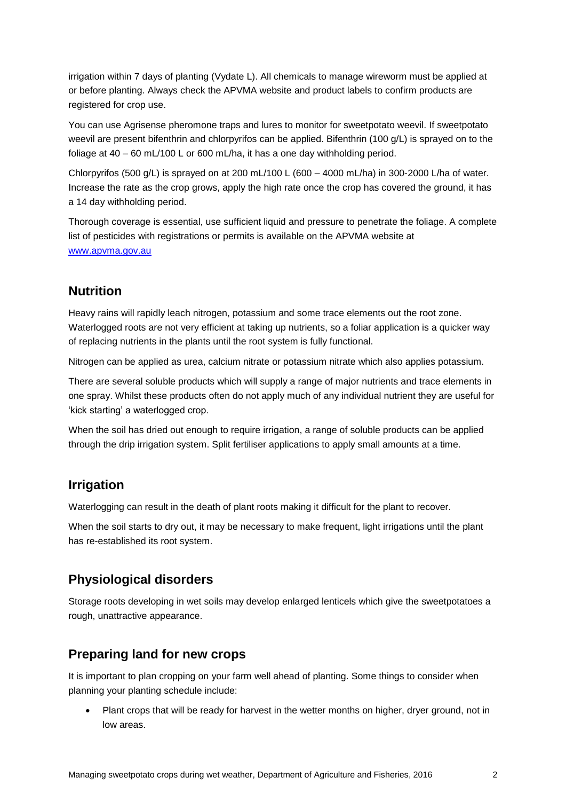irrigation within 7 days of planting (Vydate L). All chemicals to manage wireworm must be applied at or before planting. Always check the APVMA website and product labels to confirm products are registered for crop use.

You can use Agrisense pheromone traps and lures to monitor for sweetpotato weevil. If sweetpotato weevil are present bifenthrin and chlorpyrifos can be applied. Bifenthrin (100 g/L) is sprayed on to the foliage at 40 – 60 mL/100 L or 600 mL/ha, it has a one day withholding period.

Chlorpyrifos (500 g/L) is sprayed on at 200 mL/100 L (600 – 4000 mL/ha) in 300-2000 L/ha of water. Increase the rate as the crop grows, apply the high rate once the crop has covered the ground, it has a 14 day withholding period.

Thorough coverage is essential, use sufficient liquid and pressure to penetrate the foliage. A complete list of pesticides with registrations or permits is available on the APVMA website at [www.apvma.gov.au](http://www.apvma.gov.au/)

#### **Nutrition**

Heavy rains will rapidly leach nitrogen, potassium and some trace elements out the root zone. Waterlogged roots are not very efficient at taking up nutrients, so a foliar application is a quicker way of replacing nutrients in the plants until the root system is fully functional.

Nitrogen can be applied as urea, calcium nitrate or potassium nitrate which also applies potassium.

There are several soluble products which will supply a range of major nutrients and trace elements in one spray. Whilst these products often do not apply much of any individual nutrient they are useful for 'kick starting' a waterlogged crop.

When the soil has dried out enough to require irrigation, a range of soluble products can be applied through the drip irrigation system. Split fertiliser applications to apply small amounts at a time.

#### **Irrigation**

Waterlogging can result in the death of plant roots making it difficult for the plant to recover.

When the soil starts to dry out, it may be necessary to make frequent, light irrigations until the plant has re-established its root system.

#### **Physiological disorders**

Storage roots developing in wet soils may develop enlarged lenticels which give the sweetpotatoes a rough, unattractive appearance.

#### **Preparing land for new crops**

It is important to plan cropping on your farm well ahead of planting. Some things to consider when planning your planting schedule include:

 Plant crops that will be ready for harvest in the wetter months on higher, dryer ground, not in low areas.